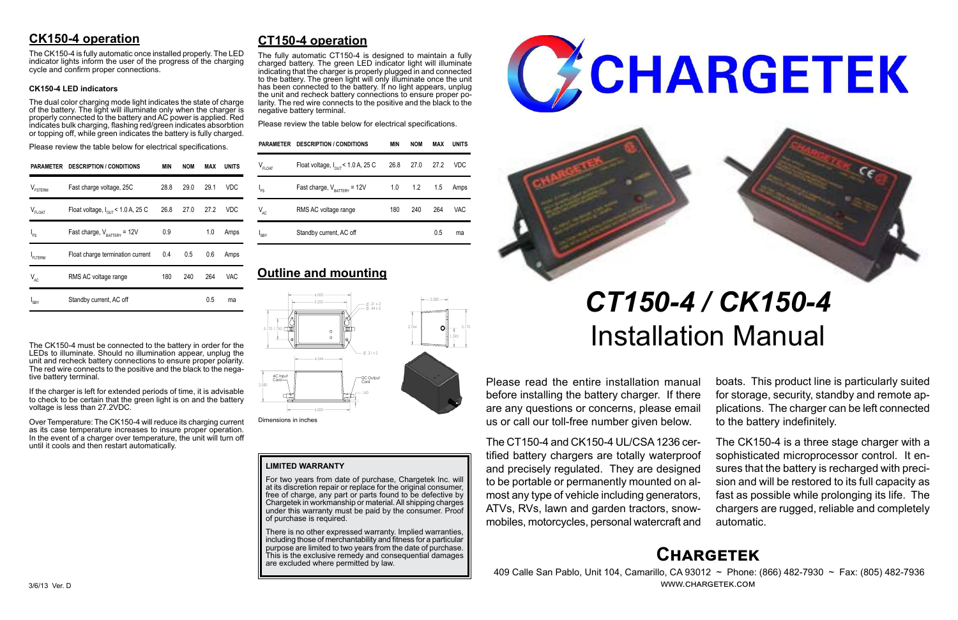# **Chargetek**

 409 Calle San Pablo, Unit 104, Camarillo, CA 93012 ~ Phone: (866) 482-7930 ~ Fax: (805) 482-7936 www.chargetek.com

# **CK150-4 operation**

The dual color charging mode light indicates the state of charge of the battery. The light will illuminate only when the charger is properly connected to the battery and AC power is applied. Red indicates bulk charging, flashing red/green indicates absorbtion or topping off, while green indicates the battery is fully charged.

The CK150-4 is fully automatic once installed properly. The LED indicator lights inform the user of the progress of the charging cycle and confirm proper connections.

#### **CK150-4 LED indicators**

Please review the table below for electrical specifications.

The CK150-4 must be connected to the battery in order for the LEDs to illuminate. Should no illumination appear, unplug the unit and recheck battery connections to ensure proper polarity. The red wire connects to the positive and the black to the negative battery terminal.

If the charger is left for extended periods of time, it is advisable to check to be certain that the green light is on and the battery voltage is less than 27.2VDC.

Over Temperature: The CK150-4 will reduce its charging current as its case temperature increases to insure proper operation. In the event of a charger over temperature, the unit will turn off until it cools and then restart automatically.

Please read the entire installation manual before installing the battery charger. If there are any questions or concerns, please email us or call our toll-free number given below.

The CT150-4 and CK150-4 UL/CSA 1236 certified battery chargers are totally waterproof and precisely regulated. They are designed to be portable or permanently mounted on almost any type of vehicle including generators, ATVs, RVs, lawn and garden tractors, snowmobiles, motorcycles, personal watercraft and

There is no other expressed warranty. Implied warranties, including those of merchantability and fitness for a particular purpose are limited to two years from the date of purchase. This is the exclusive remedy and consequential damages are excluded where permitted by law.





boats. This product line is particularly suited for storage, security, standby and remote applications. The charger can be left connected to the battery indefinitely.

The CK150-4 is a three stage charger with a sophisticated microprocessor control. It ensures that the battery is recharged with precision and will be restored to its full capacity as fast as possible while prolonging its life. The chargers are rugged, reliable and completely automatic.

# **CT150-4 operation**

The fully automatic CT150-4 is designed to maintain a fully charged battery. The green LED indicator light will illuminate indicating that the charger is properly plugged in and connected to the battery. The green light will only illuminate once the unit has been connected to the battery. If no light appears, unplug the unit and recheck battery connections to ensure proper polarity. The red wire connects to the positive and the black to the negative battery terminal.

Please review the table below for electrical specifications.

# *CT150-4 / CK150-4* Installation Manual

| PARAMETER           | <b>DESCRIPTION / CONDITIONS</b>               | <b>MIN</b> | <b>NOM</b> | MAX  | <b>UNITS</b> |
|---------------------|-----------------------------------------------|------------|------------|------|--------------|
| $V_{\text{FSTERM}}$ | Fast charge voltage, 25C                      | 28.8       | 29.0       | 29.1 | VDC          |
| $V_{FLOAT}$         | Float voltage, $I_{\text{out}}$ < 1.0 A, 25 C | 26.8       | 27.0       | 27.2 | VDC          |
| $I_{FS}$            | Fast charge, $V_{\text{rATTERY}}$ = 12V       | 0.9        |            | 1.0  | Amps         |
| FLTERM              | Float charge termination current              | 0.4        | 0.5        | 0.6  | Amps         |
| $V_{AC}$            | RMS AC voltage range                          | 180        | 240        | 264  | VAC          |
| $I_{SBY}$           | Standby current, AC off                       |            |            | 0.5  | ma           |

|             | PARAMETER DESCRIPTION / CONDITIONS            | MIN | <b>NOM</b>        | MAX | <b>UNITS</b> |
|-------------|-----------------------------------------------|-----|-------------------|-----|--------------|
| $V_{FLOAT}$ | Float voltage, $I_{\text{out}}$ < 1.0 A, 25 C |     | 26.8 27.0 27.2    |     | <b>VDC</b>   |
| $I_{FS}$    | Fast charge, $V_{\text{raffry}} = 12V$        |     | $1.0$ $1.2$ $1.5$ |     | Amps         |
| $V_{AC}$    | RMS AC voltage range                          | 180 | 240               | 264 | <b>VAC</b>   |
| $I_{SBY}$   | Standby current, AC off                       |     |                   | 0.5 | ma           |

# **Outline and mounting**

#### **LIMITED WARRANTY**

For two years from date of purchase, Chargetek Inc. will at its discretion repair or replace for the original consumer, free of charge, any part or parts found to be defective by Chargetek in workmanship or material. All shipping charges under this warranty must be paid by the consumer. Proof of purchase is required.